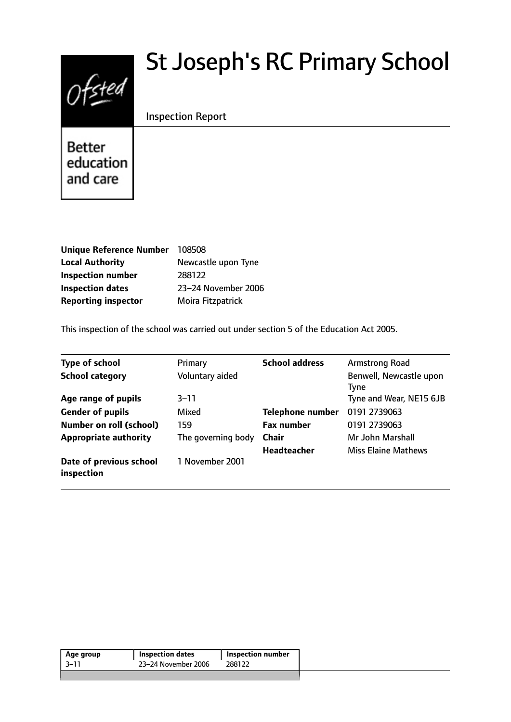# $0$ fsted

# St Joseph's RC Primary School

# Inspection Report

**Better** education and care

| <b>Unique Reference Number</b> | 108508              |
|--------------------------------|---------------------|
| <b>Local Authority</b>         | Newcastle upon Tyne |
| <b>Inspection number</b>       | 288122              |
| <b>Inspection dates</b>        | 23-24 November 2006 |
| <b>Reporting inspector</b>     | Moira Fitzpatrick   |

This inspection of the school was carried out under section 5 of the Education Act 2005.

| <b>Type of school</b>                 | Primary            | <b>School address</b>   | Armstrong Road                         |
|---------------------------------------|--------------------|-------------------------|----------------------------------------|
| <b>School category</b>                | Voluntary aided    |                         | Benwell, Newcastle upon<br><b>Tyne</b> |
| Age range of pupils                   | 3–11               |                         | Tyne and Wear, NE15 6JB                |
| <b>Gender of pupils</b>               | Mixed              | <b>Telephone number</b> | 0191 2739063                           |
| <b>Number on roll (school)</b>        | 159                | <b>Fax number</b>       | 0191 2739063                           |
| <b>Appropriate authority</b>          | The governing body | <b>Chair</b>            | Mr John Marshall                       |
|                                       |                    | <b>Headteacher</b>      | <b>Miss Elaine Mathews</b>             |
| Date of previous school<br>inspection | 1 November 2001    |                         |                                        |

| 23-24 November 2006<br>3–11<br>288122 | Age group | <b>Inspection dates</b> | Inspection number |  |
|---------------------------------------|-----------|-------------------------|-------------------|--|
|                                       |           |                         |                   |  |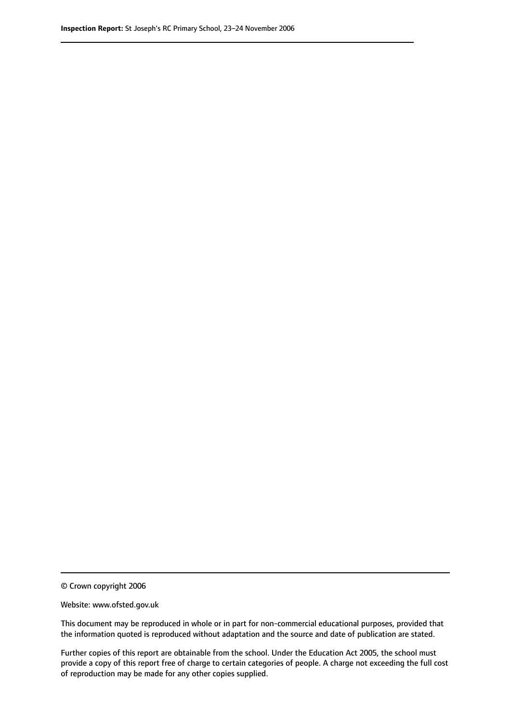© Crown copyright 2006

Website: www.ofsted.gov.uk

This document may be reproduced in whole or in part for non-commercial educational purposes, provided that the information quoted is reproduced without adaptation and the source and date of publication are stated.

Further copies of this report are obtainable from the school. Under the Education Act 2005, the school must provide a copy of this report free of charge to certain categories of people. A charge not exceeding the full cost of reproduction may be made for any other copies supplied.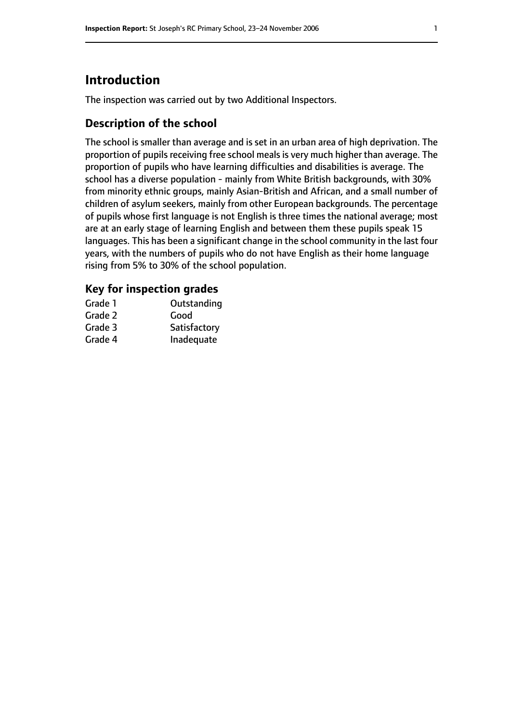# **Introduction**

The inspection was carried out by two Additional Inspectors.

# **Description of the school**

The school is smaller than average and is set in an urban area of high deprivation. The proportion of pupils receiving free school meals is very much higher than average. The proportion of pupils who have learning difficulties and disabilities is average. The school has a diverse population - mainly from White British backgrounds, with 30% from minority ethnic groups, mainly Asian-British and African, and a small number of children of asylum seekers, mainly from other European backgrounds. The percentage of pupils whose first language is not English is three times the national average; most are at an early stage of learning English and between them these pupils speak 15 languages. This has been a significant change in the school community in the last four years, with the numbers of pupils who do not have English as their home language rising from 5% to 30% of the school population.

#### **Key for inspection grades**

| Grade 1 | Outstanding  |
|---------|--------------|
| Grade 2 | Good         |
| Grade 3 | Satisfactory |
| Grade 4 | Inadequate   |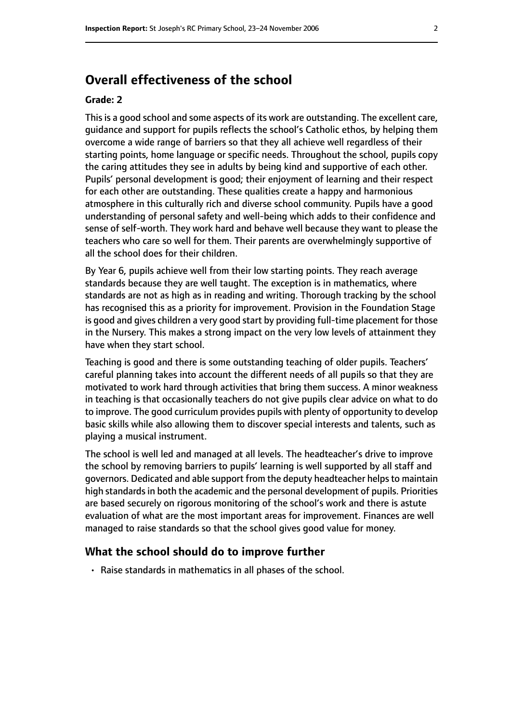# **Overall effectiveness of the school**

#### **Grade: 2**

This is a good school and some aspects of its work are outstanding. The excellent care, guidance and support for pupils reflects the school's Catholic ethos, by helping them overcome a wide range of barriers so that they all achieve well regardless of their starting points, home language or specific needs. Throughout the school, pupils copy the caring attitudes they see in adults by being kind and supportive of each other. Pupils' personal development is good; their enjoyment of learning and their respect for each other are outstanding. These qualities create a happy and harmonious atmosphere in this culturally rich and diverse school community. Pupils have a good understanding of personal safety and well-being which adds to their confidence and sense of self-worth. They work hard and behave well because they want to please the teachers who care so well for them. Their parents are overwhelmingly supportive of all the school does for their children.

By Year 6, pupils achieve well from their low starting points. They reach average standards because they are well taught. The exception is in mathematics, where standards are not as high as in reading and writing. Thorough tracking by the school has recognised this as a priority for improvement. Provision in the Foundation Stage is good and gives children a very good start by providing full-time placement for those in the Nursery. This makes a strong impact on the very low levels of attainment they have when they start school.

Teaching is good and there is some outstanding teaching of older pupils. Teachers' careful planning takes into account the different needs of all pupils so that they are motivated to work hard through activities that bring them success. A minor weakness in teaching is that occasionally teachers do not give pupils clear advice on what to do to improve. The good curriculum provides pupils with plenty of opportunity to develop basic skills while also allowing them to discover special interests and talents, such as playing a musical instrument.

The school is well led and managed at all levels. The headteacher's drive to improve the school by removing barriers to pupils' learning is well supported by all staff and governors. Dedicated and able support from the deputy headteacher helps to maintain high standards in both the academic and the personal development of pupils. Priorities are based securely on rigorous monitoring of the school's work and there is astute evaluation of what are the most important areas for improvement. Finances are well managed to raise standards so that the school gives good value for money.

#### **What the school should do to improve further**

• Raise standards in mathematics in all phases of the school.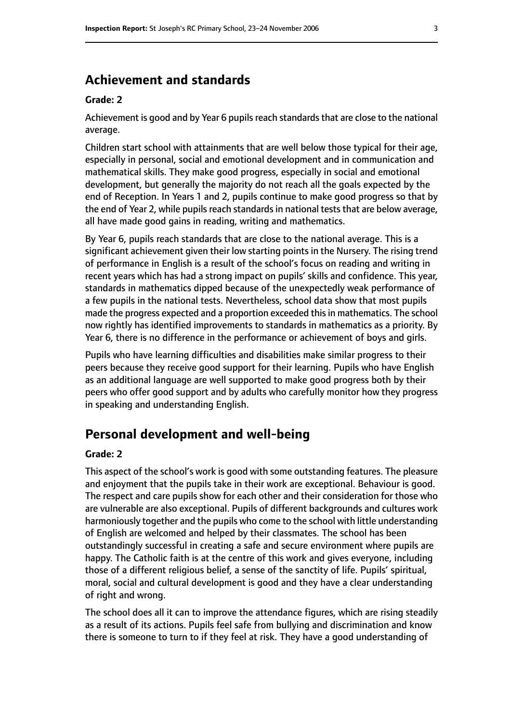# **Achievement and standards**

#### **Grade: 2**

Achievement is good and by Year 6 pupils reach standards that are close to the national average.

Children start school with attainments that are well below those typical for their age, especially in personal, social and emotional development and in communication and mathematical skills. They make good progress, especially in social and emotional development, but generally the majority do not reach all the goals expected by the end of Reception. In Years 1 and 2, pupils continue to make good progress so that by the end of Year 2, while pupils reach standards in national tests that are below average, all have made good gains in reading, writing and mathematics.

By Year 6, pupils reach standards that are close to the national average. This is a significant achievement given their low starting points in the Nursery. The rising trend of performance in English is a result of the school's focus on reading and writing in recent years which has had a strong impact on pupils' skills and confidence. This year, standards in mathematics dipped because of the unexpectedly weak performance of a few pupils in the national tests. Nevertheless, school data show that most pupils made the progress expected and a proportion exceeded this in mathematics. The school now rightly has identified improvements to standards in mathematics as a priority. By Year 6, there is no difference in the performance or achievement of boys and girls.

Pupils who have learning difficulties and disabilities make similar progress to their peers because they receive good support for their learning. Pupils who have English as an additional language are well supported to make good progress both by their peers who offer good support and by adults who carefully monitor how they progress in speaking and understanding English.

# **Personal development and well-being**

#### **Grade: 2**

This aspect of the school's work is good with some outstanding features. The pleasure and enjoyment that the pupils take in their work are exceptional. Behaviour is good. The respect and care pupils show for each other and their consideration for those who are vulnerable are also exceptional. Pupils of different backgrounds and cultures work harmoniously together and the pupils who come to the school with little understanding of English are welcomed and helped by their classmates. The school has been outstandingly successful in creating a safe and secure environment where pupils are happy. The Catholic faith is at the centre of this work and gives everyone, including those of a different religious belief, a sense of the sanctity of life. Pupils' spiritual, moral, social and cultural development is good and they have a clear understanding of right and wrong.

The school does all it can to improve the attendance figures, which are rising steadily as a result of its actions. Pupils feel safe from bullying and discrimination and know there is someone to turn to if they feel at risk. They have a good understanding of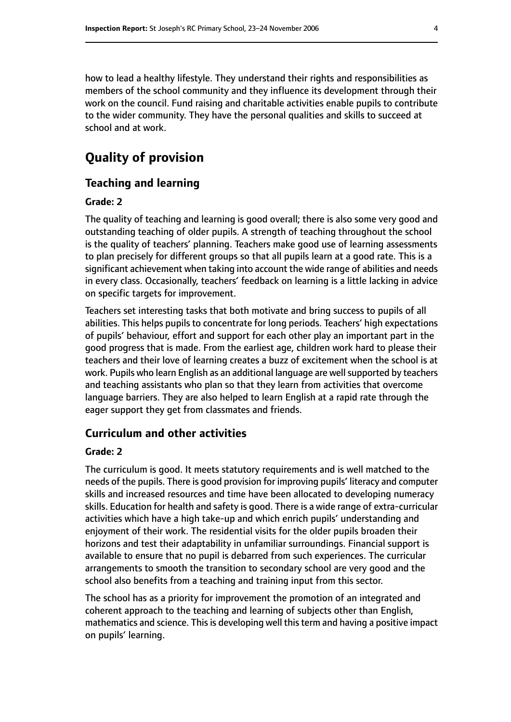how to lead a healthy lifestyle. They understand their rights and responsibilities as members of the school community and they influence its development through their work on the council. Fund raising and charitable activities enable pupils to contribute to the wider community. They have the personal qualities and skills to succeed at school and at work.

# **Quality of provision**

#### **Teaching and learning**

#### **Grade: 2**

The quality of teaching and learning is good overall; there is also some very good and outstanding teaching of older pupils. A strength of teaching throughout the school is the quality of teachers' planning. Teachers make good use of learning assessments to plan precisely for different groups so that all pupils learn at a good rate. This is a significant achievement when taking into account the wide range of abilities and needs in every class. Occasionally, teachers' feedback on learning is a little lacking in advice on specific targets for improvement.

Teachers set interesting tasks that both motivate and bring success to pupils of all abilities. This helps pupils to concentrate for long periods. Teachers' high expectations of pupils' behaviour, effort and support for each other play an important part in the good progress that is made. From the earliest age, children work hard to please their teachers and their love of learning creates a buzz of excitement when the school is at work. Pupils who learn English as an additional language are well supported by teachers and teaching assistants who plan so that they learn from activities that overcome language barriers. They are also helped to learn English at a rapid rate through the eager support they get from classmates and friends.

#### **Curriculum and other activities**

#### **Grade: 2**

The curriculum is good. It meets statutory requirements and is well matched to the needs of the pupils. There is good provision for improving pupils' literacy and computer skills and increased resources and time have been allocated to developing numeracy skills. Education for health and safety is good. There is a wide range of extra-curricular activities which have a high take-up and which enrich pupils' understanding and enjoyment of their work. The residential visits for the older pupils broaden their horizons and test their adaptability in unfamiliar surroundings. Financial support is available to ensure that no pupil is debarred from such experiences. The curricular arrangements to smooth the transition to secondary school are very good and the school also benefits from a teaching and training input from this sector.

The school has as a priority for improvement the promotion of an integrated and coherent approach to the teaching and learning of subjects other than English, mathematics and science. This is developing well this term and having a positive impact on pupils' learning.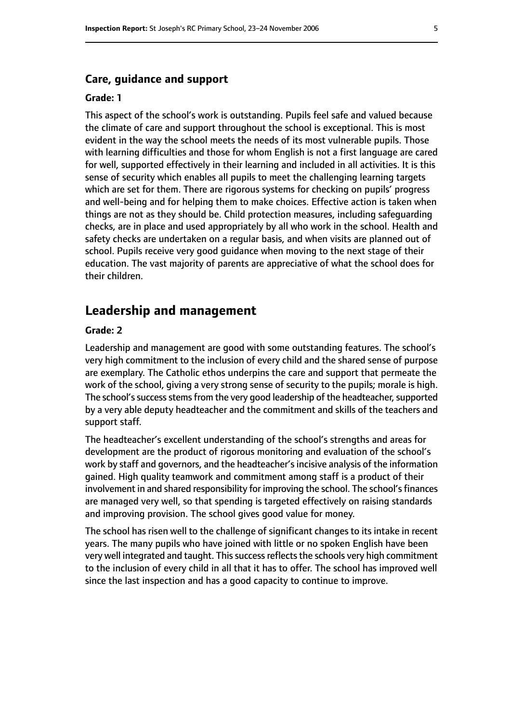#### **Care, guidance and support**

#### **Grade: 1**

This aspect of the school's work is outstanding. Pupils feel safe and valued because the climate of care and support throughout the school is exceptional. This is most evident in the way the school meets the needs of its most vulnerable pupils. Those with learning difficulties and those for whom English is not a first language are cared for well, supported effectively in their learning and included in all activities. It is this sense of security which enables all pupils to meet the challenging learning targets which are set for them. There are rigorous systems for checking on pupils' progress and well-being and for helping them to make choices. Effective action is taken when things are not as they should be. Child protection measures, including safeguarding checks, are in place and used appropriately by all who work in the school. Health and safety checks are undertaken on a regular basis, and when visits are planned out of school. Pupils receive very good guidance when moving to the next stage of their education. The vast majority of parents are appreciative of what the school does for their children.

### **Leadership and management**

#### **Grade: 2**

Leadership and management are good with some outstanding features. The school's very high commitment to the inclusion of every child and the shared sense of purpose are exemplary. The Catholic ethos underpins the care and support that permeate the work of the school, giving a very strong sense of security to the pupils; morale is high. The school's success stems from the very good leadership of the headteacher, supported by a very able deputy headteacher and the commitment and skills of the teachers and support staff.

The headteacher's excellent understanding of the school's strengths and areas for development are the product of rigorous monitoring and evaluation of the school's work by staff and governors, and the headteacher's incisive analysis of the information gained. High quality teamwork and commitment among staff is a product of their involvement in and shared responsibility for improving the school. The school's finances are managed very well, so that spending is targeted effectively on raising standards and improving provision. The school gives good value for money.

The school has risen well to the challenge of significant changes to its intake in recent years. The many pupils who have joined with little or no spoken English have been very well integrated and taught. This success reflects the schools very high commitment to the inclusion of every child in all that it has to offer. The school has improved well since the last inspection and has a good capacity to continue to improve.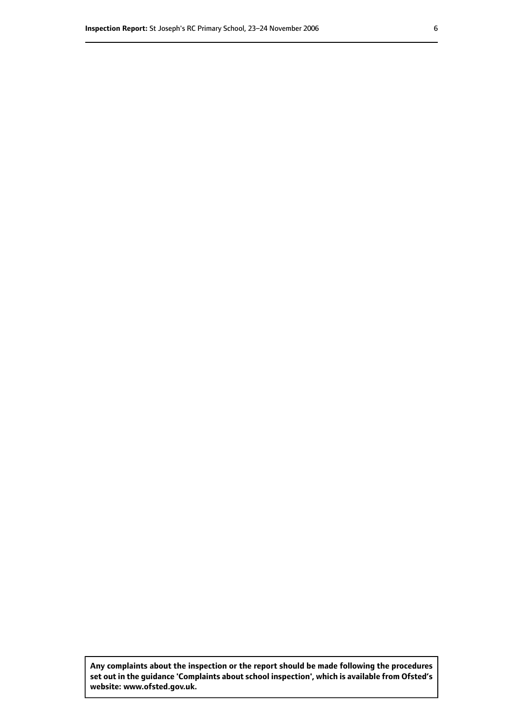**Any complaints about the inspection or the report should be made following the procedures set out inthe guidance 'Complaints about school inspection', whichis available from Ofsted's website: www.ofsted.gov.uk.**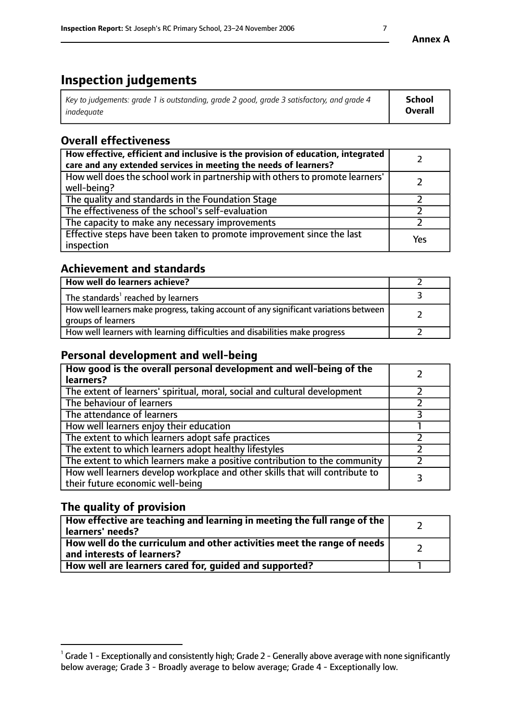# **Inspection judgements**

| Key to judgements: grade 1 is outstanding, grade 2 good, grade 3 satisfactory, and grade 4 | School         |
|--------------------------------------------------------------------------------------------|----------------|
| inadeauate                                                                                 | <b>Overall</b> |

# **Overall effectiveness**

| How effective, efficient and inclusive is the provision of education, integrated<br>care and any extended services in meeting the needs of learners? |     |
|------------------------------------------------------------------------------------------------------------------------------------------------------|-----|
| How well does the school work in partnership with others to promote learners'<br>well-being?                                                         |     |
| The quality and standards in the Foundation Stage                                                                                                    |     |
| The effectiveness of the school's self-evaluation                                                                                                    |     |
| The capacity to make any necessary improvements                                                                                                      |     |
| Effective steps have been taken to promote improvement since the last<br>inspection                                                                  | Yes |

## **Achievement and standards**

| How well do learners achieve?                                                                               |  |
|-------------------------------------------------------------------------------------------------------------|--|
| The standards <sup>1</sup> reached by learners                                                              |  |
| How well learners make progress, taking account of any significant variations between<br>groups of learners |  |
| How well learners with learning difficulties and disabilities make progress                                 |  |

# **Personal development and well-being**

| How good is the overall personal development and well-being of the<br>learners?                                  |  |
|------------------------------------------------------------------------------------------------------------------|--|
| The extent of learners' spiritual, moral, social and cultural development                                        |  |
| The behaviour of learners                                                                                        |  |
| The attendance of learners                                                                                       |  |
| How well learners enjoy their education                                                                          |  |
| The extent to which learners adopt safe practices                                                                |  |
| The extent to which learners adopt healthy lifestyles                                                            |  |
| The extent to which learners make a positive contribution to the community                                       |  |
| How well learners develop workplace and other skills that will contribute to<br>their future economic well-being |  |

# **The quality of provision**

| How effective are teaching and learning in meeting the full range of the<br>learners' needs?          |  |
|-------------------------------------------------------------------------------------------------------|--|
| How well do the curriculum and other activities meet the range of needs<br>and interests of learners? |  |
| How well are learners cared for, guided and supported?                                                |  |

 $^1$  Grade 1 - Exceptionally and consistently high; Grade 2 - Generally above average with none significantly below average; Grade 3 - Broadly average to below average; Grade 4 - Exceptionally low.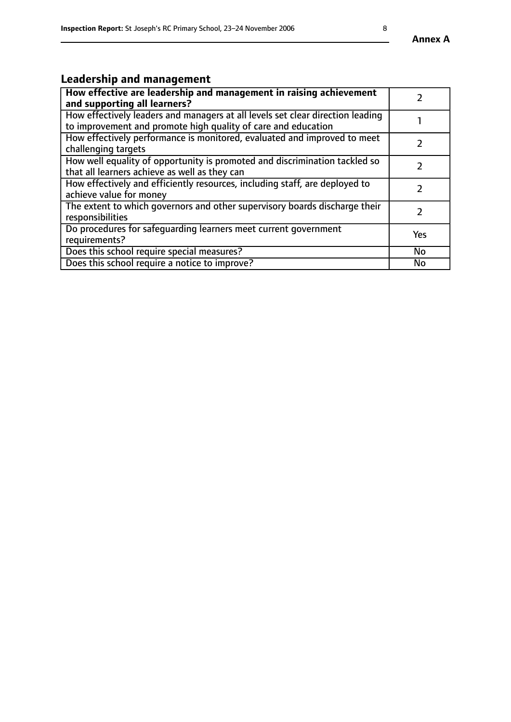# **Leadership and management**

| How effective are leadership and management in raising achievement<br>and supporting all learners?                                              |               |
|-------------------------------------------------------------------------------------------------------------------------------------------------|---------------|
| How effectively leaders and managers at all levels set clear direction leading<br>to improvement and promote high quality of care and education |               |
| How effectively performance is monitored, evaluated and improved to meet<br>challenging targets                                                 |               |
| How well equality of opportunity is promoted and discrimination tackled so<br>that all learners achieve as well as they can                     |               |
| How effectively and efficiently resources, including staff, are deployed to<br>achieve value for money                                          | $\mathcal{P}$ |
| The extent to which governors and other supervisory boards discharge their<br>responsibilities                                                  |               |
| Do procedures for safequarding learners meet current government<br>requirements?                                                                | Yes           |
| Does this school require special measures?                                                                                                      | No            |
| Does this school require a notice to improve?                                                                                                   | <b>No</b>     |